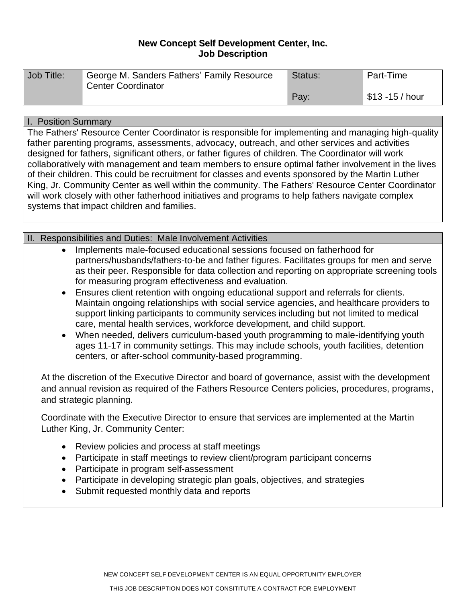# **New Concept Self Development Center, Inc. Job Description**

| Job Title: | George M. Sanders Fathers' Family Resource<br><b>Center Coordinator</b> | Status: | Part-Time         |
|------------|-------------------------------------------------------------------------|---------|-------------------|
|            |                                                                         | Pay:    | $$13 - 15$ / hour |

### I. Position Summary

The Fathers' Resource Center Coordinator is responsible for implementing and managing high-quality father parenting programs, assessments, advocacy, outreach, and other services and activities designed for fathers, significant others, or father figures of children. The Coordinator will work collaboratively with management and team members to ensure optimal father involvement in the lives of their children. This could be recruitment for classes and events sponsored by the Martin Luther King, Jr. Community Center as well within the community. The Fathers' Resource Center Coordinator will work closely with other fatherhood initiatives and programs to help fathers navigate complex systems that impact children and families.

# II. Responsibilities and Duties: Male Involvement Activities

- Implements male-focused educational sessions focused on fatherhood for partners/husbands/fathers-to-be and father figures. Facilitates groups for men and serve as their peer. Responsible for data collection and reporting on appropriate screening tools for measuring program effectiveness and evaluation.
- Ensures client retention with ongoing educational support and referrals for clients. Maintain ongoing relationships with social service agencies, and healthcare providers to support linking participants to community services including but not limited to medical care, mental health services, workforce development, and child support.
- When needed, delivers curriculum-based youth programming to male-identifying youth ages 11-17 in community settings. This may include schools, youth facilities, detention centers, or after-school community-based programming.

At the discretion of the Executive Director and board of governance, assist with the development and annual revision as required of the Fathers Resource Centers policies, procedures, programs, and strategic planning.

Coordinate with the Executive Director to ensure that services are implemented at the Martin Luther King, Jr. Community Center:

- Review policies and process at staff meetings
- Participate in staff meetings to review client/program participant concerns
- Participate in program self-assessment
- Participate in developing strategic plan goals, objectives, and strategies
- Submit requested monthly data and reports

NEW CONCEPT SELF DEVELOPMENT CENTER IS AN EQUAL OPPORTUNITY EMPLOYER